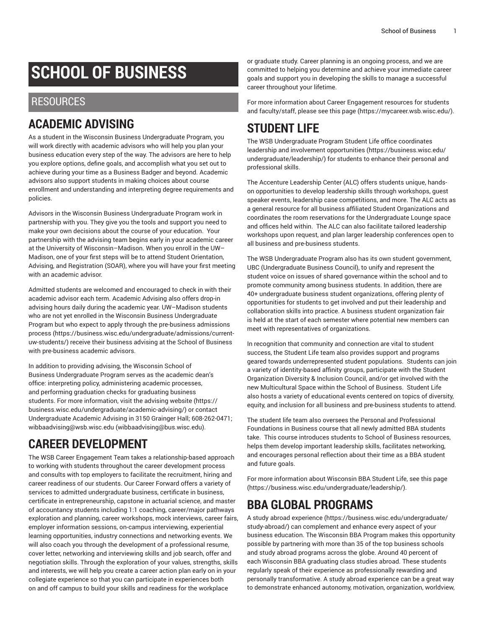# **SCHOOL OF BUSINESS**

#### RESOURCES

### **ACADEMIC ADVISING**

As a student in the Wisconsin Business Undergraduate Program, you will work directly with academic advisors who will help you plan your business education every step of the way. The advisors are here to help you explore options, define goals, and accomplish what you set out to achieve during your time as a Business Badger and beyond. Academic advisors also support students in making choices about course enrollment and understanding and interpreting degree requirements and policies.

Advisors in the Wisconsin Business Undergraduate Program work in partnership with you. They give you the tools and support you need to make your own decisions about the course of your education. Your partnership with the advising team begins early in your academic career at the University of Wisconsin–Madison. When you enroll in the UW– Madison, one of your first steps will be to attend Student Orientation, Advising, and Registration (SOAR), where you will have your first meeting with an academic advisor.

Admitted students are welcomed and encouraged to check in with their academic advisor each term. Academic Advising also offers drop-in advising hours daily during the academic year. UW–Madison students who are not yet enrolled in the Wisconsin Business Undergraduate Program but who expect to apply through the [pre-business](https://business.wisc.edu/undergraduate/admissions/current-uw-students/) admissions [process \(https://business.wisc.edu/undergraduate/admissions/current](https://business.wisc.edu/undergraduate/admissions/current-uw-students/)[uw-students/\)](https://business.wisc.edu/undergraduate/admissions/current-uw-students/) receive their business advising at the School of Business with pre-business academic advisors.

In addition to providing advising, the Wisconsin School of Business Undergraduate Program serves as the academic dean's office: interpreting policy, administering academic processes, and performing graduation checks for graduating business students. For more information, visit the advising [website](https://business.wisc.edu/undergraduate/academic-advising/) ([https://](https://business.wisc.edu/undergraduate/academic-advising/) [business.wisc.edu/undergraduate/academic-advising/\)](https://business.wisc.edu/undergraduate/academic-advising/) or contact Undergraduate Academic Advising in 3150 Grainger Hall; 608-262-0471; [wibbaadvising@wsb.wisc.edu](mailto:wibbaadvising@bus.wisc.edu) [\(wibbaadvising@bus.wisc.edu\)](wibbaadvising@bus.wisc.edu).

# **CAREER DEVELOPMENT**

The WSB Career Engagement Team takes a relationship-based approach to working with students throughout the career development process and consults with top employers to facilitate the recruitment, hiring and career readiness of our students. Our Career Forward offers a variety of services to admitted undergraduate business, certificate in business, certificate in entrepreneurship, capstone in actuarial science, and master of accountancy students including 1:1 coaching, career/major pathways exploration and planning, career workshops, mock interviews, career fairs, employer information sessions, on-campus interviewing, experiential learning opportunities, industry connections and networking events. We will also coach you through the development of a professional resume, cover letter, networking and interviewing skills and job search, offer and negotiation skills. Through the exploration of your values, strengths, skills and interests, we will help you create a career action plan early on in your collegiate experience so that you can participate in experiences both on and off campus to build your skills and readiness for the workplace

or graduate study. Career planning is an ongoing process, and we are committed to helping you determine and achieve your immediate career goals and support you in developing the skills to manage a successful career throughout your lifetime.

For more information about Career Engagement resources for students and faculty/staff, please see [this page \(https://mycareer.wsb.wisc.edu/\)](https://mycareer.wsb.wisc.edu/).

# **STUDENT LIFE**

The WSB Undergraduate Program Student Life office coordinates leadership and involvement [opportunities](https://business.wisc.edu/undergraduate/leadership/) ([https://business.wisc.edu/](https://business.wisc.edu/undergraduate/leadership/) [undergraduate/leadership/](https://business.wisc.edu/undergraduate/leadership/)) for students to enhance their personal and professional skills.

The Accenture Leadership Center (ALC) offers students unique, handson opportunities to develop leadership skills through workshops, guest speaker events, leadership case competitions, and more. The ALC acts as a general resource for all business affiliated Student Organizations and coordinates the room reservations for the Undergraduate Lounge space and offices held within. The ALC can also facilitate tailored leadership workshops upon request, and plan larger leadership conferences open to all business and pre-business students.

The WSB Undergraduate Program also has its own student government, UBC (Undergraduate Business Council), to unify and represent the student voice on issues of shared governance within the school and to promote community among business students. In addition, there are 40+ undergraduate business student organizations, offering plenty of opportunities for students to get involved and put their leadership and collaboration skills into practice. A business student organization fair is held at the start of each semester where potential new members can meet with representatives of organizations.

In recognition that community and connection are vital to student success, the Student Life team also provides support and programs geared towards underrepresented student populations. Students can join a variety of identity-based affinity groups, participate with the Student Organization Diversity & Inclusion Council, and/or get involved with the new Multicultural Space within the School of Business. Student Life also hosts a variety of educational events centered on topics of diversity, equity, and inclusion for all business and pre-business students to attend.

The student life team also oversees the Personal and Professional Foundations in Business course that all newly admitted BBA students take. This course introduces students to School of Business resources, helps them develop important leadership skills, facilitates networking, and encourages personal reflection about their time as a BBA student and future goals.

For more information about Wisconsin BBA Student Life, see [this page](https://business.wisc.edu/undergraduate/leadership/) [\(https://business.wisc.edu/undergraduate/leadership/\)](https://business.wisc.edu/undergraduate/leadership/).

### **BBA GLOBAL PROGRAMS**

A study abroad [experience \(https://business.wisc.edu/undergraduate/](https://business.wisc.edu/undergraduate/study-abroad/) [study-abroad/](https://business.wisc.edu/undergraduate/study-abroad/)) can complement and enhance every aspect of your business education. The Wisconsin BBA Program makes this opportunity possible by partnering with more than 35 of the top business schools and study abroad programs across the globe. Around 40 percent of each Wisconsin BBA graduating class studies abroad. These students regularly speak of their experience as professionally rewarding and personally transformative. A study abroad experience can be a great way to demonstrate enhanced autonomy, motivation, organization, worldview,